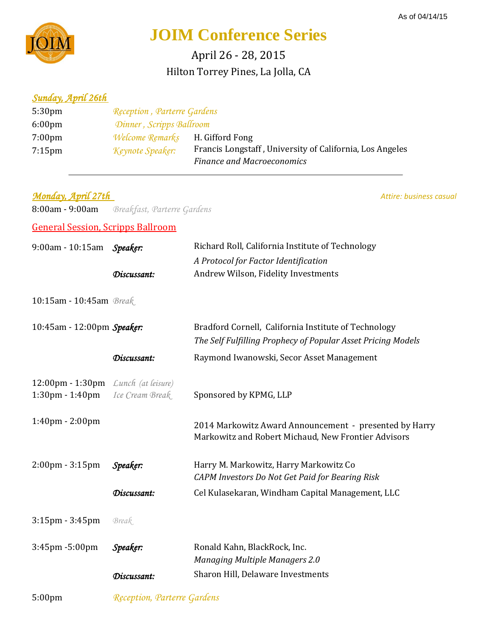

## **JOIM Conference Series**

Hilton Torrey Pines, La Jolla, CA April 26 - 28, 2015

## *Sunday, April 26th*

| 5:30 <sub>pm</sub> | Reception, Parterre Gardens            |                                                          |
|--------------------|----------------------------------------|----------------------------------------------------------|
| $6:00 \text{pm}$   | Dinner, Scripps Ballroom               |                                                          |
| $7:00 \text{pm}$   | <i>Welcome Remarks</i> H. Gifford Fong |                                                          |
| $7:15$ pm          | Keynote Speaker:                       | Francis Longstaff, University of California, Los Angeles |
|                    |                                        | <b>Finance and Macroeconomics</b>                        |

*Monday, April 27th Attire: business casual Attire: business casual* 

8:00am - 9:00am *Breakfast, Parterre Gardens*

General Session, Scripps Ballroom

| 9:00am - 10:15am Speaker:                                                |                             | Richard Roll, California Institute of Technology                                                                     |
|--------------------------------------------------------------------------|-----------------------------|----------------------------------------------------------------------------------------------------------------------|
|                                                                          |                             | A Protocol for Factor Identification                                                                                 |
|                                                                          | Discussant:                 | Andrew Wilson, Fidelity Investments                                                                                  |
| 10:15am - 10:45am Break                                                  |                             |                                                                                                                      |
| 10:45am - 12:00pm Speaker:                                               |                             | Bradford Cornell, California Institute of Technology<br>The Self Fulfilling Prophecy of Popular Asset Pricing Models |
|                                                                          | Discussant:                 | Raymond Iwanowski, Secor Asset Management                                                                            |
| 12:00pm - 1:30pm Lunch (at leisure)<br>$1:30 \text{pm} - 1:40 \text{pm}$ | Ice Cream Break             | Sponsored by KPMG, LLP                                                                                               |
| 1:40pm - 2:00pm                                                          |                             | 2014 Markowitz Award Announcement - presented by Harry<br>Markowitz and Robert Michaud, New Frontier Advisors        |
| $2:00 \text{pm} - 3:15 \text{pm}$                                        | Speaker:                    | Harry M. Markowitz, Harry Markowitz Co<br>CAPM Investors Do Not Get Paid for Bearing Risk                            |
|                                                                          | Discussant:                 | Cel Kulasekaran, Windham Capital Management, LLC                                                                     |
| 3:15pm - 3:45pm                                                          | Break                       |                                                                                                                      |
| 3:45pm -5:00pm                                                           | Speaker:                    | Ronald Kahn, BlackRock, Inc.<br><b>Managing Multiple Managers 2.0</b>                                                |
|                                                                          | Discussant:                 | Sharon Hill, Delaware Investments                                                                                    |
| 5:00pm                                                                   | Reception, Parterre Gardens |                                                                                                                      |